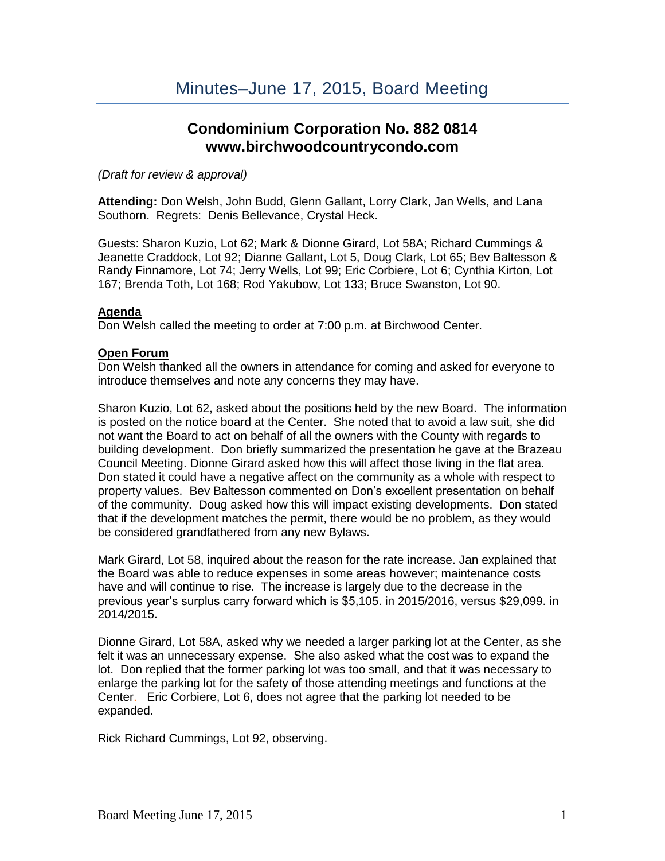# **Condominium Corporation No. 882 0814 www.birchwoodcountrycondo.com**

*(Draft for review & approval)*

**Attending:** Don Welsh, John Budd, Glenn Gallant, Lorry Clark, Jan Wells, and Lana Southorn. Regrets: Denis Bellevance, Crystal Heck.

Guests: Sharon Kuzio, Lot 62; Mark & Dionne Girard, Lot 58A; Richard Cummings & Jeanette Craddock, Lot 92; Dianne Gallant, Lot 5, Doug Clark, Lot 65; Bev Baltesson & Randy Finnamore, Lot 74; Jerry Wells, Lot 99; Eric Corbiere, Lot 6; Cynthia Kirton, Lot 167; Brenda Toth, Lot 168; Rod Yakubow, Lot 133; Bruce Swanston, Lot 90.

## **Agenda**

Don Welsh called the meeting to order at 7:00 p.m. at Birchwood Center.

# **Open Forum**

Don Welsh thanked all the owners in attendance for coming and asked for everyone to introduce themselves and note any concerns they may have.

Sharon Kuzio, Lot 62, asked about the positions held by the new Board. The information is posted on the notice board at the Center. She noted that to avoid a law suit, she did not want the Board to act on behalf of all the owners with the County with regards to building development. Don briefly summarized the presentation he gave at the Brazeau Council Meeting. Dionne Girard asked how this will affect those living in the flat area. Don stated it could have a negative affect on the community as a whole with respect to property values. Bev Baltesson commented on Don's excellent presentation on behalf of the community. Doug asked how this will impact existing developments. Don stated that if the development matches the permit, there would be no problem, as they would be considered grandfathered from any new Bylaws.

Mark Girard, Lot 58, inquired about the reason for the rate increase. Jan explained that the Board was able to reduce expenses in some areas however; maintenance costs have and will continue to rise. The increase is largely due to the decrease in the previous year's surplus carry forward which is \$5,105. in 2015/2016, versus \$29,099. in 2014/2015.

Dionne Girard, Lot 58A, asked why we needed a larger parking lot at the Center, as she felt it was an unnecessary expense. She also asked what the cost was to expand the lot. Don replied that the former parking lot was too small, and that it was necessary to enlarge the parking lot for the safety of those attending meetings and functions at the Center. Eric Corbiere, Lot 6, does not agree that the parking lot needed to be expanded.

Rick Richard Cummings, Lot 92, observing.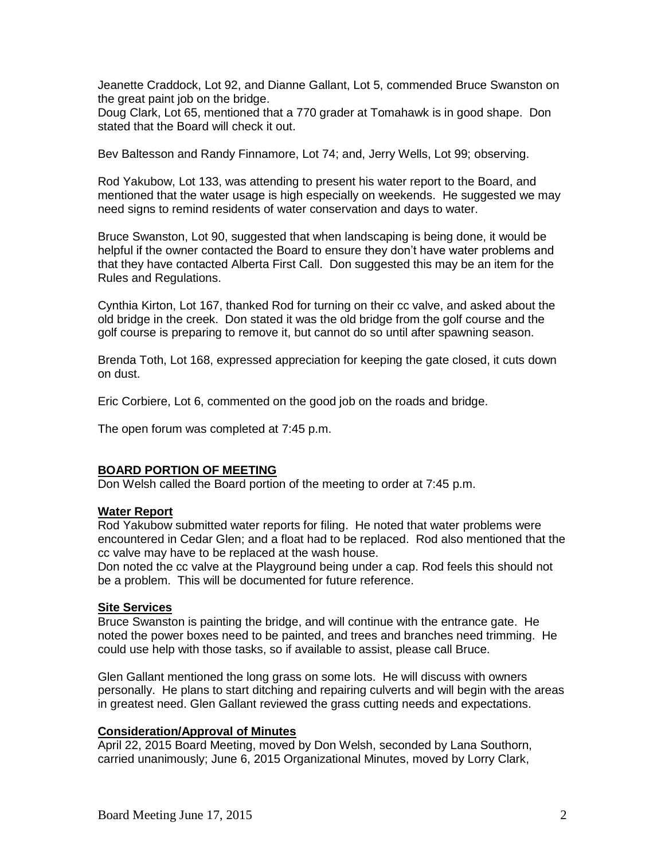Jeanette Craddock, Lot 92, and Dianne Gallant, Lot 5, commended Bruce Swanston on the great paint job on the bridge.

Doug Clark, Lot 65, mentioned that a 770 grader at Tomahawk is in good shape. Don stated that the Board will check it out.

Bev Baltesson and Randy Finnamore, Lot 74; and, Jerry Wells, Lot 99; observing.

Rod Yakubow, Lot 133, was attending to present his water report to the Board, and mentioned that the water usage is high especially on weekends. He suggested we may need signs to remind residents of water conservation and days to water.

Bruce Swanston, Lot 90, suggested that when landscaping is being done, it would be helpful if the owner contacted the Board to ensure they don't have water problems and that they have contacted Alberta First Call. Don suggested this may be an item for the Rules and Regulations.

Cynthia Kirton, Lot 167, thanked Rod for turning on their cc valve, and asked about the old bridge in the creek. Don stated it was the old bridge from the golf course and the golf course is preparing to remove it, but cannot do so until after spawning season.

Brenda Toth, Lot 168, expressed appreciation for keeping the gate closed, it cuts down on dust.

Eric Corbiere, Lot 6, commented on the good job on the roads and bridge.

The open forum was completed at 7:45 p.m.

# **BOARD PORTION OF MEETING**

Don Welsh called the Board portion of the meeting to order at 7:45 p.m.

#### **Water Report**

Rod Yakubow submitted water reports for filing. He noted that water problems were encountered in Cedar Glen; and a float had to be replaced. Rod also mentioned that the cc valve may have to be replaced at the wash house.

Don noted the cc valve at the Playground being under a cap. Rod feels this should not be a problem. This will be documented for future reference.

#### **Site Services**

Bruce Swanston is painting the bridge, and will continue with the entrance gate. He noted the power boxes need to be painted, and trees and branches need trimming. He could use help with those tasks, so if available to assist, please call Bruce.

Glen Gallant mentioned the long grass on some lots. He will discuss with owners personally. He plans to start ditching and repairing culverts and will begin with the areas in greatest need. Glen Gallant reviewed the grass cutting needs and expectations.

# **Consideration/Approval of Minutes**

April 22, 2015 Board Meeting, moved by Don Welsh, seconded by Lana Southorn, carried unanimously; June 6, 2015 Organizational Minutes, moved by Lorry Clark,